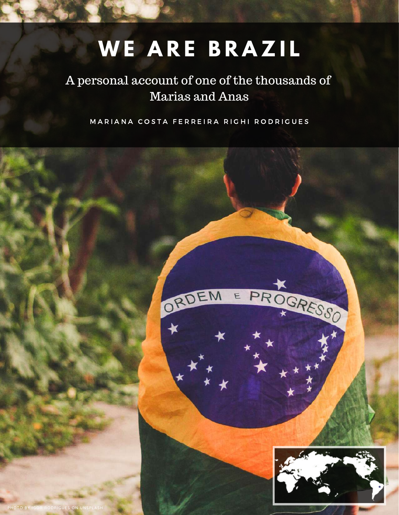# **W E A R E B R A Z I L**

# A personal account of one of the thousands of Marias and Anas

MARIANA COSTA FERREIRA RIGHI RODRIGUES

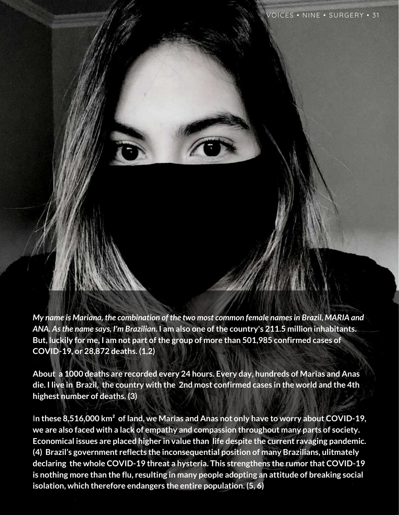*My name is Mariana, the combination of the two most common female namesin Brazil, MARIA and ANA. Asthe name says, I'm Brazilian.* **I am also one ofthe country's 211.5 million inhabitants. But, luckily for me, I am not part ofthe group of more than 501,985 confirmed cases of COVID-19, or 28,872 deaths. (1,2)**

**About a 1000 deaths are recorded every 24 hours. Every day, hundreds of Marias and Anas** die. I live in Brazil, the country with the 2nd most confirmed cases in the world and the 4th **highest number of deaths. (3)**

I**n these 8,516,000 km² of land, we Marias and Anas not only have to worry about COVID-19, we are also faced with a lack of empathy and compassion throughout many parts of society. Economical issues are placed higher in value than life despite the current ravaging pandemic. (4) Brazil's government reflects the inconsequential position of many Brazilians, ulitmately declaring the whole COVID-19 threat a hysteria. This strengthens the rumor that COVID-19 is nothing more than the flu, resulting in many people adopting an attitude of breaking social isolation, which therefore endangers the entire population. (5, 6)**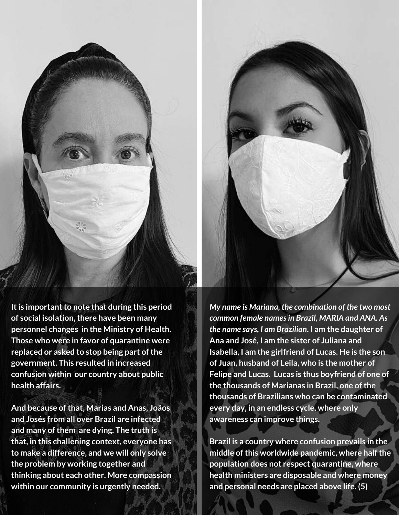

*My name is Mariana, the combination of the two most common female namesin Brazil, MARIA and ANA. As the name says, I am Brazilian***. I am the daughter of Ana and José, I am the sister of Juliana and Isabella, I am the girlfriend of Lucas. He is the son of Juan, husband of Leila, who is the mother of Felipe and Lucas. Lucas is thus boyfriend of one of the thousands of Marianas in Brazil, one ofthe thousands of Brazilians who can be contaminated every day, in an endless cycle, where only awareness can improve things.**

**Brazil is a country where confusion prevails in the middle ofthis worldwide pandemic, where halfthe population does not respect quarantine, where health ministers are disposable and where money and personal needs are placed above life. (5)**

**It is important to note that during this period of social isolation,there have been many personnel changes in the Ministry of Health. Those who were in favor of quarantine were replaced** or asked to stop being part of the **government. This resulted in increased confusion within our country about public health affairs.**

**And because ofthat, Marias and Anas, Joãos and Josés from all over Brazil are infected and many ofthem are dying. The truth is that, in this challening context, everyone has to make a difference, and we will only solve the problem by working together and thinking about each other. More compassion within our community is urgently needed.**